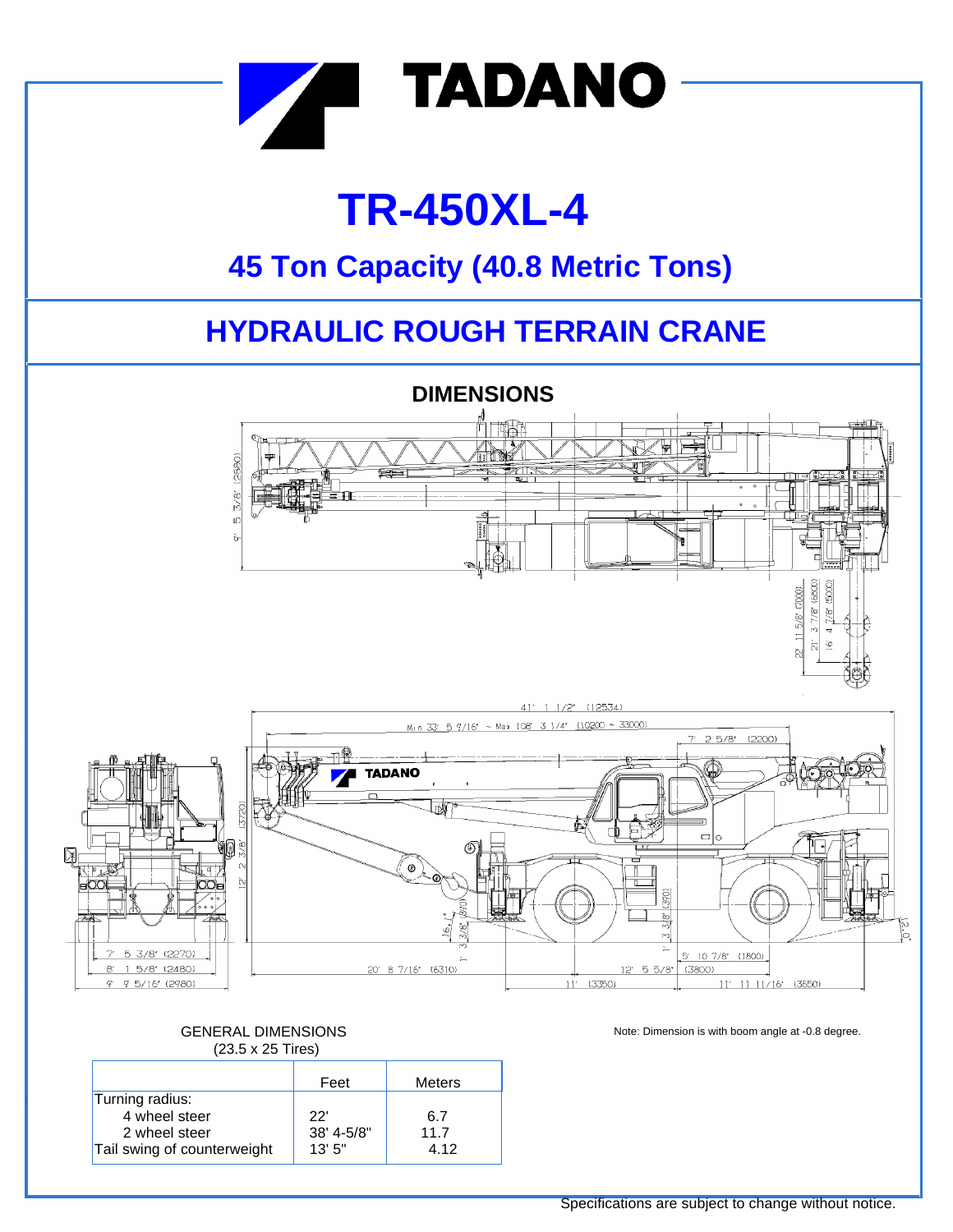

# **TR-450XL-4**

## **45 Ton Capacity (40.8 Metric Tons)**

## **HYDRAULIC ROUGH TERRAIN CRANE**



### GENERAL DIMENSIONS (23.5 x 25 Tires)

|                             | Feet       | Meters |
|-----------------------------|------------|--------|
| Turning radius:             |            |        |
| 4 wheel steer               | 22'        | 6.7    |
| 2 wheel steer               | 38' 4-5/8" | 11.7   |
| Tail swing of counterweight | 13'5''     | 4.12   |

Note: Dimension is with boom angle at -0.8 degree.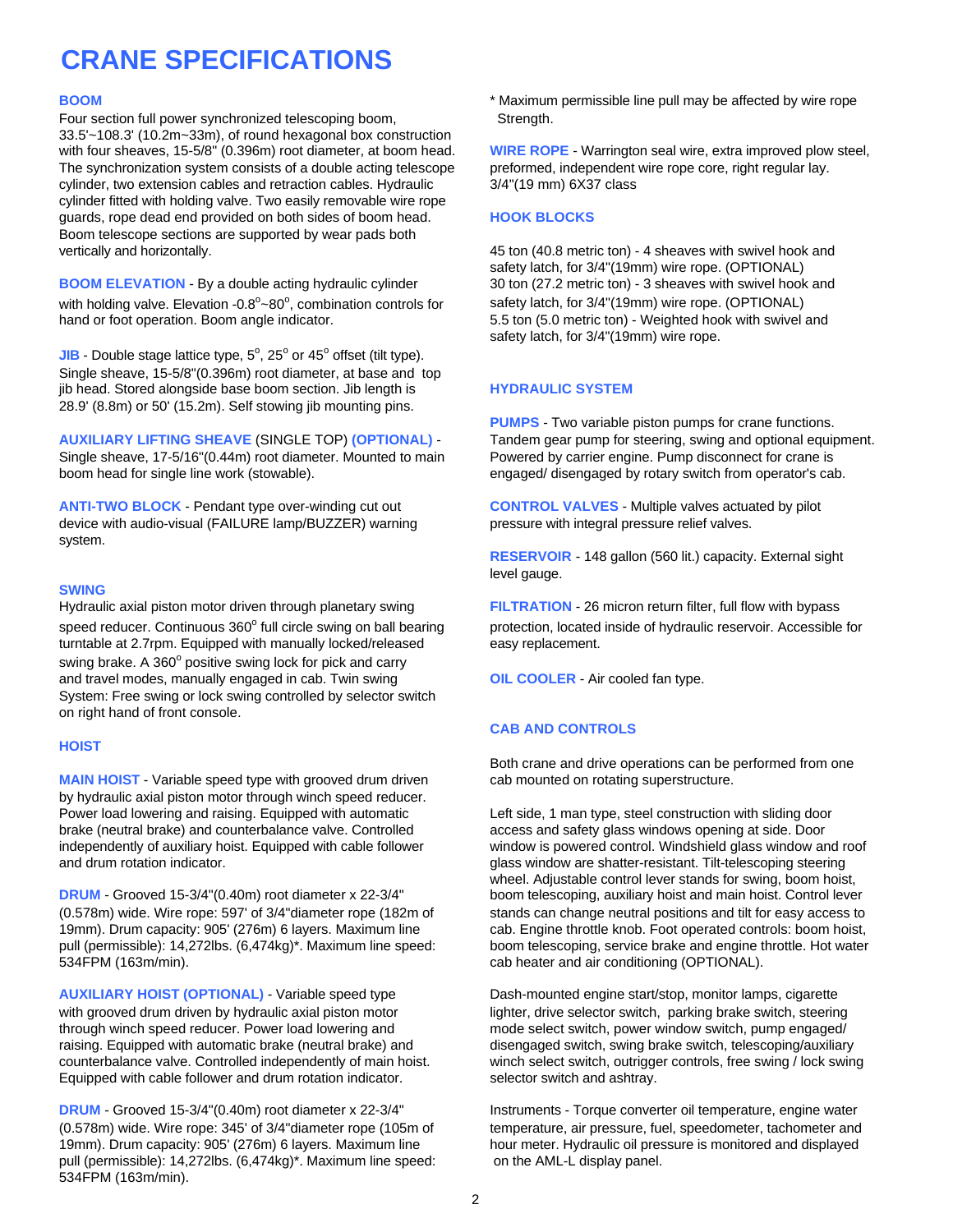## **CRANE SPECIFICATIONS**

Four section full power synchronized telescoping boom, Strength. 33.5'~108.3' (10.2m~33m), of round hexagonal box construction with four sheaves, 15-5/8" (0.396m) root diameter, at boom head. **WIRE ROPE** - Warrington seal wire, extra improved plow steel, The synchronization system consists of a double acting telescope preformed, independent wire rope core, right regular lay. cylinder, two extension cables and retraction cables. Hydraulic 3/4"(19 mm) 6X37 class cylinder fitted with holding valve. Two easily removable wire rope guards, rope dead end provided on both sides of boom head. **HOOK BLOCKS** Boom telescope sections are supported by wear pads both vertically and horizontally. 45 ton (40.8 metric ton) - 4 sheaves with swivel hook and

**BOOM ELEVATION** - By a double acting hydraulic cylinder 30 ton (27.2 metric ton) - 3 sheaves with swivel hook and with holding valve. Elevation -0.8 $^{\circ}$ ~80 $^{\circ}$ hand or foot operation. Boom angle indicator.  $5.5$  ton (5.0 metric ton) - Weighted hook with swivel and

**JIB** - Double stage lattice type,  $5^\circ$ ,  $25^\circ$  or  $45^\circ$  offset (tilt type). Single sheave, 15-5/8"(0.396m) root diameter, at base and top jib head. Stored alongside base boom section. Jib length is **HYDRAULIC SYSTEM** 28.9' (8.8m) or 50' (15.2m). Self stowing jib mounting pins.

**AUXILIARY LIFTING SHEAVE** (SINGLE TOP) **(OPTIONAL)** - Tandem gear pump for steering, swing and optional equipment. Single sheave, 17-5/16"(0.44m) root diameter. Mounted to main Powered by carrier engine. Pump disconnect for crane is boom head for single line work (stowable). engaged/ disengaged by rotary switch from operator's cab.

device with audio-visual (FAILURE lamp/BUZZER) warning pressure with integral pressure relief valves. system.

### **SWING**

speed reducer. Continuous 360° full circle swing on ball bearing turntable at 2.7rpm. Equipped with manually locked/released easy replacement. swing brake. A 360° positive swing lock for pick and carry and travel modes, manually engaged in cab. Twin swing **OIL COOLER** - Air cooled fan type. System: Free swing or lock swing controlled by selector switch on right hand of front console.

### **HOIST**

**MAIN HOIST** - Variable speed type with grooved drum driven cab mounted on rotating superstructure. by hydraulic axial piston motor through winch speed reducer. Power load lowering and raising. Equipped with automatic Left side, 1 man type, steel construction with sliding door brake (neutral brake) and counterbalance valve. Controlled access and safety glass windows opening at side. Door and drum rotation indicator. glass window are shatter-resistant. Tilt-telescoping steering

**DRUM** - Grooved 15-3/4"(0.40m) root diameter x 22-3/4" boom telescoping, auxiliary hoist and main hoist. Control lever (0.578m) wide. Wire rope: 597' of 3/4"diameter rope (182m of stands can change neutral positions and tilt for easy access to 19mm). Drum capacity: 905' (276m) 6 layers. Maximum line cab. Engine throttle knob. Foot operated controls: boom hoist, pull (permissible): 14,272lbs. (6,474kg)\*. Maximum line speed: boom telescoping, service brake and engine throttle. Hot water 534FPM (163m/min). cab heater and air conditioning (OPTIONAL).

**AUXILIARY HOIST (OPTIONAL)** - Variable speed type Dash-mounted engine start/stop, monitor lamps, cigarette with grooved drum driven by hydraulic axial piston motor lighter, drive selector switch, parking brake switch, steering through winch speed reducer. Power load lowering and mode select switch, power window switch, pump engaged/ raising. Equipped with automatic brake (neutral brake) and disengaged switch, swing brake switch, telescoping/auxiliary Equipped with cable follower and drum rotation indicator. Selector switch and ashtray.

(0.578m) wide. Wire rope: 345' of 3/4"diameter rope (105m of temperature, air pressure, fuel, speedometer, tachometer and 19mm). Drum capacity: 905' (276m) 6 layers. Maximum line hour meter. Hydraulic oil pressure is monitored and displayed pull (permissible): 14,272lbs. (6,474kg)\*. Maximum line speed: on the AML-L display panel. 534FPM (163m/min).

**BOOM EXECTS EXECTS EXECTS EXECTS EXECTS EXECTS EXECTS EXECTS EXECTS EXECTS EXECTS EXECTS EXECTS EXECTS EXECTS EXECTS EXECTS EXECTS EXECTS EXECTS EXECTS EXECTS EXECTS EXECTS** 

safety latch, for 3/4"(19mm) wire rope. (OPTIONAL) safety latch, for 3/4"(19mm) wire rope. (OPTIONAL) safety latch, for 3/4"(19mm) wire rope.

**PUMPS** - Two variable piston pumps for crane functions.

**ANTI-TWO BLOCK** - Pendant type over-winding cut out **CONTROL VALVES** - Multiple valves actuated by pilot

**RESERVOIR** - 148 gallon (560 lit.) capacity. External sight level gauge.

Hydraulic axial piston motor driven through planetary swing **FILTRATION** - 26 micron return filter, full flow with bypass protection, located inside of hydraulic reservoir. Accessible for

### **CAB AND CONTROLS**

Both crane and drive operations can be performed from one

independently of auxiliary hoist. Equipped with cable follower window is powered control. Windshield glass window and roof wheel. Adjustable control lever stands for swing, boom hoist,

counterbalance valve. Controlled independently of main hoist. winch select switch, outrigger controls, free swing / lock swing

**DRUM** - Grooved 15-3/4"(0.40m) root diameter x 22-3/4" Instruments - Torque converter oil temperature, engine water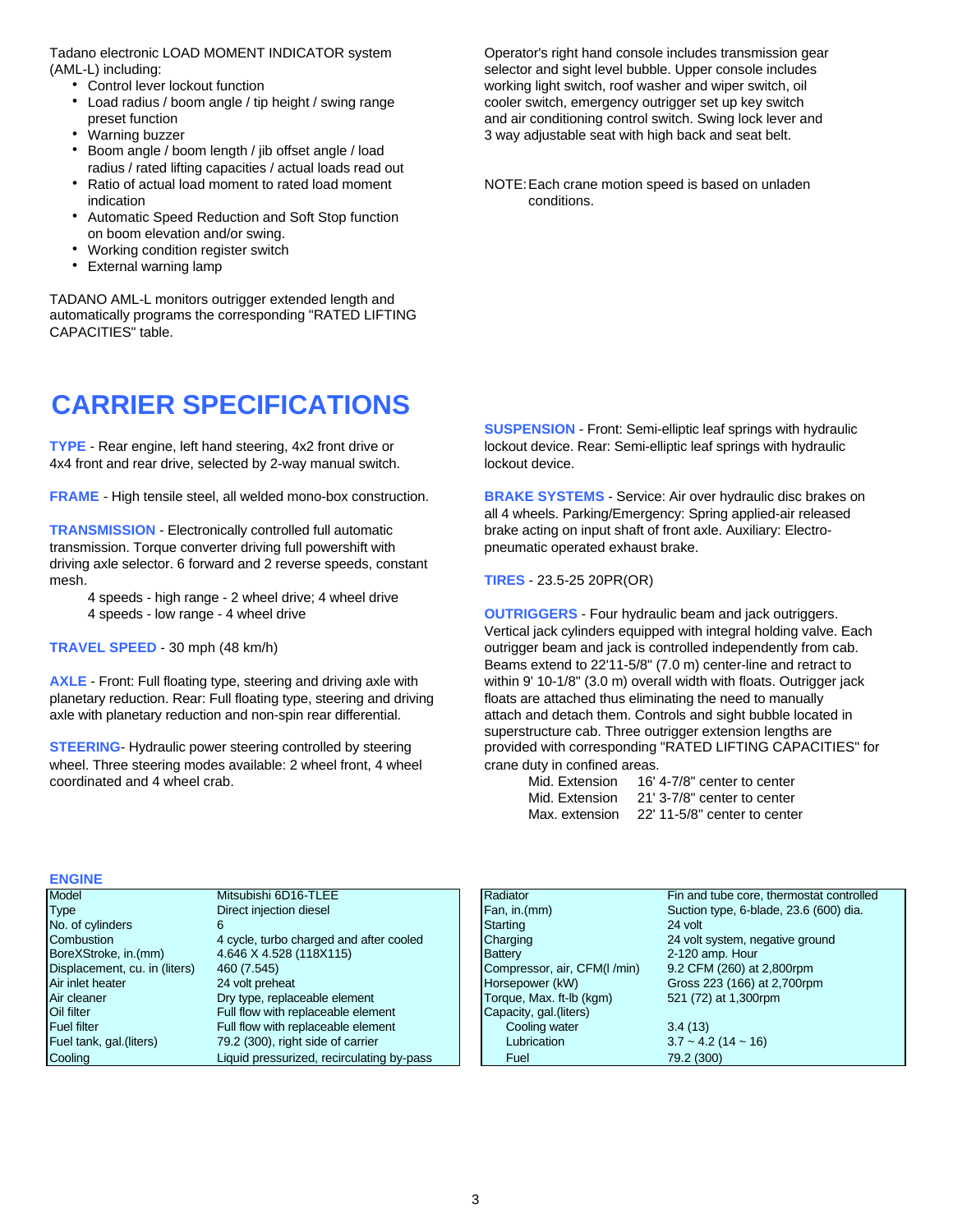(AML-L) including: selector and sight level bubble. Upper console includes

- 
- 
- 
- Boom angle / boom length / jib offset angle / load radius / rated lifting capacities / actual loads read out
- Ratio of actual load moment to rated load moment NOTE: Each crane motion speed is based on unladen indication conditions.
- Automatic Speed Reduction and Soft Stop function on boom elevation and/or swing.
- Working condition register switch
- External warning lamp

TADANO AML-L monitors outrigger extended length and automatically programs the corresponding "RATED LIFTING CAPACITIES" table.

### **CARRIER SPECIFICATIONS**

4x4 front and rear drive, selected by 2-way manual switch. lockout device.

**FRAME** - High tensile steel, all welded mono-box construction. **BRAKE SYSTEMS** - Service: Air over hydraulic disc brakes on

**TRANSMISSION** - Electronically controlled full automatic brake acting on input shaft of front axle. Auxiliary: Electrotransmission. Torque converter driving full powershift with pneumatic operated exhaust brake. driving axle selector. 6 forward and 2 reverse speeds, constant mesh. **TIRES** - 23.5-25 20PR(OR)

- 4 speeds high range 2 wheel drive; 4 wheel drive
- 

**AXLE** - Front: Full floating type, steering and driving axle with within 9' 10-1/8" (3.0 m) overall width with floats. Outrigger jack planetary reduction. Rear: Full floating type, steering and driving floats are attached thus eliminating the need to manually axle with planetary reduction and non-spin rear differential. attach and detach them. Controls and sight bubble located in

wheel. Three steering modes available: 2 wheel front, 4 wheel crane duty in confined areas. coordinated and 4 wheel crab.

Tadano electronic LOAD MOMENT INDICATOR system Operator's right hand console includes transmission gear • Control lever lockout function working light switch, roof washer and wiper switch, oil • Load radius / boom angle / tip height / swing range cooler switch, emergency outrigger set up key switch preset function and air conditioning control switch. Swing lock lever and • Warning buzzer **3** way adjustable seat with high back and seat belt.

**SUSPENSION** - Front: Semi-elliptic leaf springs with hydraulic **TYPE** - Rear engine, left hand steering, 4x2 front drive or lockout device. Rear: Semi-elliptic leaf springs with hydraulic

all 4 wheels. Parking/Emergency: Spring applied-air released

4 speeds - low range - 4 wheel drive **OUTRIGGERS** - Four hydraulic beam and jack outriggers. Vertical jack cylinders equipped with integral holding valve. Each **TRAVEL SPEED** - 30 mph (48 km/h) **buttigger beam and jack is controlled independently from cab.** Beams extend to 22'11-5/8" (7.0 m) center-line and retract to superstructure cab. Three outrigger extension lengths are **STEERING-** Hydraulic power steering controlled by steering provided with corresponding "RATED LIFTING CAPACITIES" for

| Mid. Extension | 16' 4-7/8" center to center  |
|----------------|------------------------------|
| Mid. Extension | 21' 3-7/8" center to center  |
| Max. extension | 22' 11-5/8" center to center |

### **ENGINE**

| Model                         | Mitsubishi 6D16-TLEE                      | Radiator                    | Fin and tube core, thermostat controlled |
|-------------------------------|-------------------------------------------|-----------------------------|------------------------------------------|
| <b>Type</b>                   | Direct injection diesel                   | Fan, in.(mm)                | Suction type, 6-blade, 23.6 (600) dia.   |
| No. of cylinders              | 6                                         | Starting                    | 24 volt                                  |
| Combustion                    | 4 cycle, turbo charged and after cooled   | Charging                    | 24 volt system, negative ground          |
| BoreXStroke, in.(mm)          | 4.646 X 4.528 (118X115)                   | Battery                     | 2-120 amp. Hour                          |
| Displacement, cu. in (liters) | 460 (7.545)                               | Compressor, air, CFM(I/min) | 9.2 CFM (260) at 2,800rpm                |
| Air inlet heater              | 24 volt preheat                           | Horsepower (kW)             | Gross 223 (166) at 2,700rpm              |
| Air cleaner                   | Dry type, replaceable element             | Torque, Max. ft-lb (kgm)    | 521 (72) at 1,300rpm                     |
| Oil filter                    | Full flow with replaceable element        | Capacity, gal. (liters)     |                                          |
| <b>Fuel filter</b>            | Full flow with replaceable element        | Cooling water               | 3.4(13)                                  |
| Fuel tank, gal. (liters)      | 79.2 (300), right side of carrier         | Lubrication                 | $3.7 \sim 4.2$ (14 $\sim 16$ )           |
| Cooling                       | Liquid pressurized, recirculating by-pass | Fuel                        | 79.2 (300)                               |
|                               |                                           |                             |                                          |

| Radiator                     | Fin and tube core, thermostat controlled |
|------------------------------|------------------------------------------|
| Fan, in.(mm)                 | Suction type, 6-blade, 23.6 (600) dia.   |
| Starting                     | 24 volt                                  |
| Charging                     | 24 volt system, negative ground          |
| Battery                      | 2-120 amp. Hour                          |
| Compressor, air, CFM(I /min) | 9.2 CFM (260) at 2,800rpm                |
| Horsepower (kW)              | Gross 223 (166) at 2,700rpm              |
| Torque, Max. ft-lb (kgm)     | 521 (72) at 1,300rpm                     |
| Capacity, gal.(liters)       |                                          |
| Cooling water                | 3.4(13)                                  |
| Lubrication                  | $3.7 \sim 4.2$ (14 $\sim 16$ )           |
| Fuel                         | 79.2 (300)                               |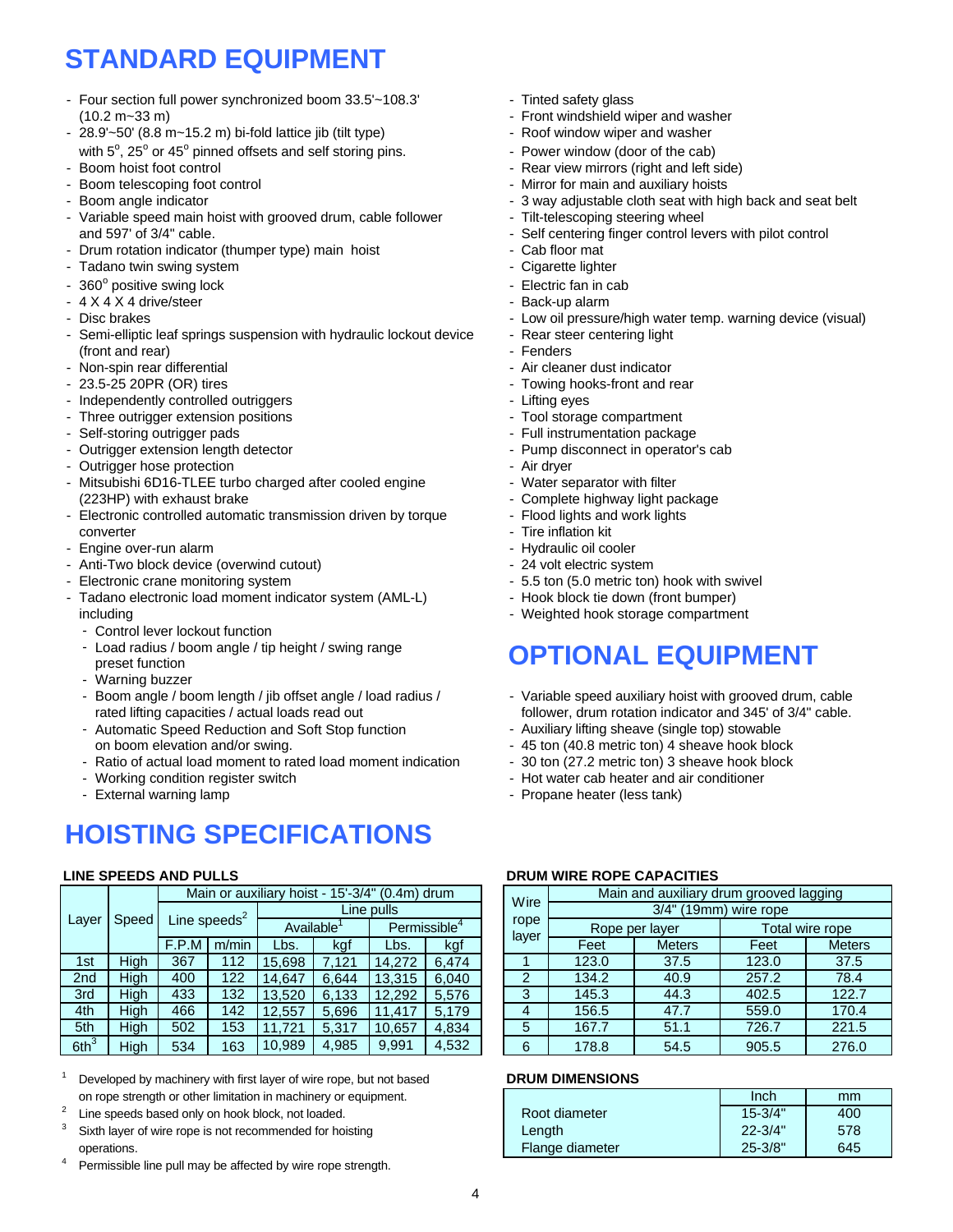## **STANDARD EQUIPMENT**

- Four section full power synchronized boom  $33.5'$  ~108.3' Tinted safety glass (10.2 m~33 m) control in the state of the state of the Front windshield wiper and washer
- 28.9'~50' (8.8 m~15.2 m) bi-fold lattice jib (tilt type) Roof window wiper and washer with  $5^\circ$ , 25 $^\circ$  or 45 $^\circ$  pinned offsets and self storing pins.  $\overline{\phantom{a}}$  Power window (door of the cab)
- 
- 
- 
- Variable speed main hoist with grooved drum, cable follower Tilt-telescoping steering wheel and 597' of 3/4" cable.  $\blacksquare$  Self centering finger control levers with pilot control
- Drum rotation indicator (thumper type) main hoist Cab floor mat
- Tadano twin swing system **Accord 2012 Cigarette lighter** Cigarette lighter
- 360° positive swing lock
- 4 X 4 X 4 drive/steer<br>- Disc brakes
- 
- Semi-elliptic leaf springs suspension with hydraulic lockout device Rear steer centering light (front and rear)  $\blacksquare$
- 
- 
- Independently controlled outriggers **Accord 2018** Theorem 2016 Lifting eyes
- Three outrigger extension positions The Control of Tool storage compartment
- 
- Outrigger extension length detector Pump disconnect in operator's cab<br>- Outrigger hose protection Pump disconnect in operator's cab
- Outrigger hose protection
- Mitsubishi 6D16-TLEE turbo charged after cooled engine Water separator with filter (223HP) with exhaust brake  $\sim$  Complete highway light package
- Electronic controlled automatic transmission driven by torque Flood lights and work lights converter - Converter - Tire inflation kit<br>
Engine over-run alarm - Tire inflation kit<br>
- Hydraulic oil cooler
- Engine over-run alarm
- Anti-Two block device (overwind cutout) 24 volt electric system<br>- Electronic crane monitoring system 5.5 ton (5.0 metric ton
- 
- Tadano electronic load moment indicator system (AML-L) - Hook block tie down (front bumper) including  $-$  Weighted hook storage compartment
	- Control lever lockout function
	- Load radius / boom angle / tip height / swing range preset function
	- Warning buzzer
	- Boom angle / boom length / jib offset angle / load radius / Variable speed auxiliary hoist with grooved drum, cable rated lifting capacities / actual loads read out follower, drum rotation indicator and 345' of 3/4" cable.<br>Automatic Speed Reduction and Soft Stop function for the auxiliary lifting sheave (single top) stowable
	- Automatic Speed Reduction and Soft Stop function on boom elevation and/or swing.<br>
	Ratio of actual load moment to rated load moment indication - 30 ton (27.2 metric ton) 3 sheave hook block
	- Ratio of actual load moment to rated load moment indication
	-
	-

## **HOISTING SPECIFICATIONS**

|                  |       |       |                 |           |       | Main or auxiliary hoist - 15'-3/4" (0.4m) drum |       | Wire | Main and auxiliary drum grooved lagging |               |       |                |                 |  |  |  |  |
|------------------|-------|-------|-----------------|-----------|-------|------------------------------------------------|-------|------|-----------------------------------------|---------------|-------|----------------|-----------------|--|--|--|--|
|                  |       |       |                 |           |       | Line pulls                                     |       |      | 3/4"<br>(19mm) wire rope                |               |       |                |                 |  |  |  |  |
| Layer            | Speed |       | Line speeds $2$ | Available |       | Permissible <sup>4</sup>                       |       |      |                                         | rope<br>layer |       | Rope per layer | Total wire rope |  |  |  |  |
|                  |       | F.P.M | m/min           | Lbs.      | kgf   | kgf<br>Lbs.                                    |       |      | Feet                                    | <b>Meters</b> | Feet  | <b>Meters</b>  |                 |  |  |  |  |
| 1st              | Hiah  | 367   | 112             | 15.698    | 7.121 | 14.272                                         | 6.474 |      | 123.0                                   | 37.5          | 123.0 | 37.5           |                 |  |  |  |  |
| 2nd              | High  | 400   | 122             | 14.647    | 6.644 | 13,315                                         | 6.040 | ົ    | 134.2                                   | 40.9          | 257.2 | 78.4           |                 |  |  |  |  |
| 3rd              | High  | 433   | 132             | 13.520    | 6.133 | 12.292                                         | 5.576 | 3    | 145.3                                   | 44.3          | 402.5 | 122.7          |                 |  |  |  |  |
| 4th              | High  | 466   | 142             | 12.557    | 5,696 | 11.417                                         | 5.179 |      | 156.5                                   | 47.7          | 559.0 | 170.4          |                 |  |  |  |  |
| 5th              | Hiah  | 502   | 153             | 11.721    | 5.317 | 10.657                                         | 4,834 | 5    | 167.7                                   | 51.1          | 726.7 | 221.5          |                 |  |  |  |  |
| 6th <sup>3</sup> | High  | 534   | 163             | 10,989    | 4,985 | 9,991                                          | 4,532 | 6    | 178.8                                   | 54.5          | 905.5 | 276.0          |                 |  |  |  |  |

- <sup>1</sup> Developed by machinery with first layer of wire rope, but not based **DRUM DIMENSIONS** on rope strength or other limitation in machinery or equipment.
- 2 Line speeds based only on hook block, not loaded.
- Sixth layer of wire rope is not recommended for hoisting
- Permissible line pull may be affected by wire rope strength.
- 
- 
- 
- 
- Boom hoist foot control And the state of the Rear view mirrors (right and left side)
- Boom telescoping foot control **Formulation** Mirror for main and auxiliary hoists
- Boom angle indicator  $\sim$  3 way adjustable cloth seat with high back and seat belt
	-
	-
	-
	-
	-
	- Electric fan in cab<br>- Back-up alarm
	- Low oil pressure/high water temp. warning device (visual)
	-
	-
- Non-spin rear differential and the set of the set of the San Air cleaner dust indicator<br>- 23.5-25 20PR (OR) tires and the set of the San Air County of the San Air County of Towing hooks-front and r
	- Towing hooks-front and rear
	-
	-
- Self-storing outrigger pads Full instrumentation package
	-
	-
	-
	-
	-
	-
	-
	-
	- 5.5 ton (5.0 metric ton) hook with swivel
	-
	-

### **OPTIONAL EQUIPMENT**

- 
- 
- 
- 
- Working condition register switch  $\blacksquare$  Hot water cab heater and air conditioner
- External warning lamp Propane heater (less tank)

### **LINE SPEEDS AND PULLS DRUM WIRE ROPE CAPACITIES**

|             |       |                          |           |       | Main or auxiliary hoist - 15'-3/4" (0.4m) drum |       | Wire          |                          | Main and auxiliary drum grooved lagging |                 |               |  |  |  |  |  |
|-------------|-------|--------------------------|-----------|-------|------------------------------------------------|-------|---------------|--------------------------|-----------------------------------------|-----------------|---------------|--|--|--|--|--|
|             |       |                          |           |       | Line pulls                                     |       |               | 3/4"<br>(19mm) wire rope |                                         |                 |               |  |  |  |  |  |
| Speed       |       | Line speeds <sup>2</sup> | Available |       | Permissible <sup>4</sup>                       |       | rope<br>layer | Rope per layer           |                                         | Total wire rope |               |  |  |  |  |  |
|             | F.P.M | m/min                    | Lbs.      | kgf   | Lbs.                                           | kgf   |               | Feet                     | <b>Meters</b>                           | Feet            | <b>Meters</b> |  |  |  |  |  |
| High        | 367   | 112                      | 15.698    | 7.121 | 14,272                                         | 6.474 |               | 123.0                    | 37.5                                    | 123.0           | 37.5          |  |  |  |  |  |
| High        | 400   | 122                      | 14.647    | 6.644 | 13.315                                         | 6,040 |               | 134.2                    | 40.9                                    | 257.2           | 78.4          |  |  |  |  |  |
| <b>High</b> | 433   | 132                      | 13,520    | 6,133 | 12,292                                         | 5,576 | 3             | 145.3                    | 44.3                                    | 402.5           | 122.7         |  |  |  |  |  |
| High        | 466   | 142                      | 12,557    | 5,696 | 11.417                                         | 5.179 | 4             | 156.5                    | 47.7                                    | 559.0           | 170.4         |  |  |  |  |  |
| High        | 502   | 153                      | 11.721    | 5,317 | 10,657                                         | 4,834 | 5             | 167.7                    | 51.1                                    | 726.7           | 221.5         |  |  |  |  |  |
| High        | 534   | 163                      | 10,989    | 4,985 | 9,991                                          | 4,532 | 6             | 178.8                    | 54.5                                    | 905.5           | 276.0         |  |  |  |  |  |

| on rope strength or other limitation in machinery or equipment. |                 | <b>Inch</b> | mm  |
|-----------------------------------------------------------------|-----------------|-------------|-----|
| Line speeds based only on hook block, not loaded.               | Root diameter   | $15 - 3/4"$ | 400 |
| Sixth layer of wire rope is not recommended for hoisting        | Lenath          | $22 - 3/4"$ | 578 |
| operations.                                                     | Flange diameter | $25 - 3/8"$ | 645 |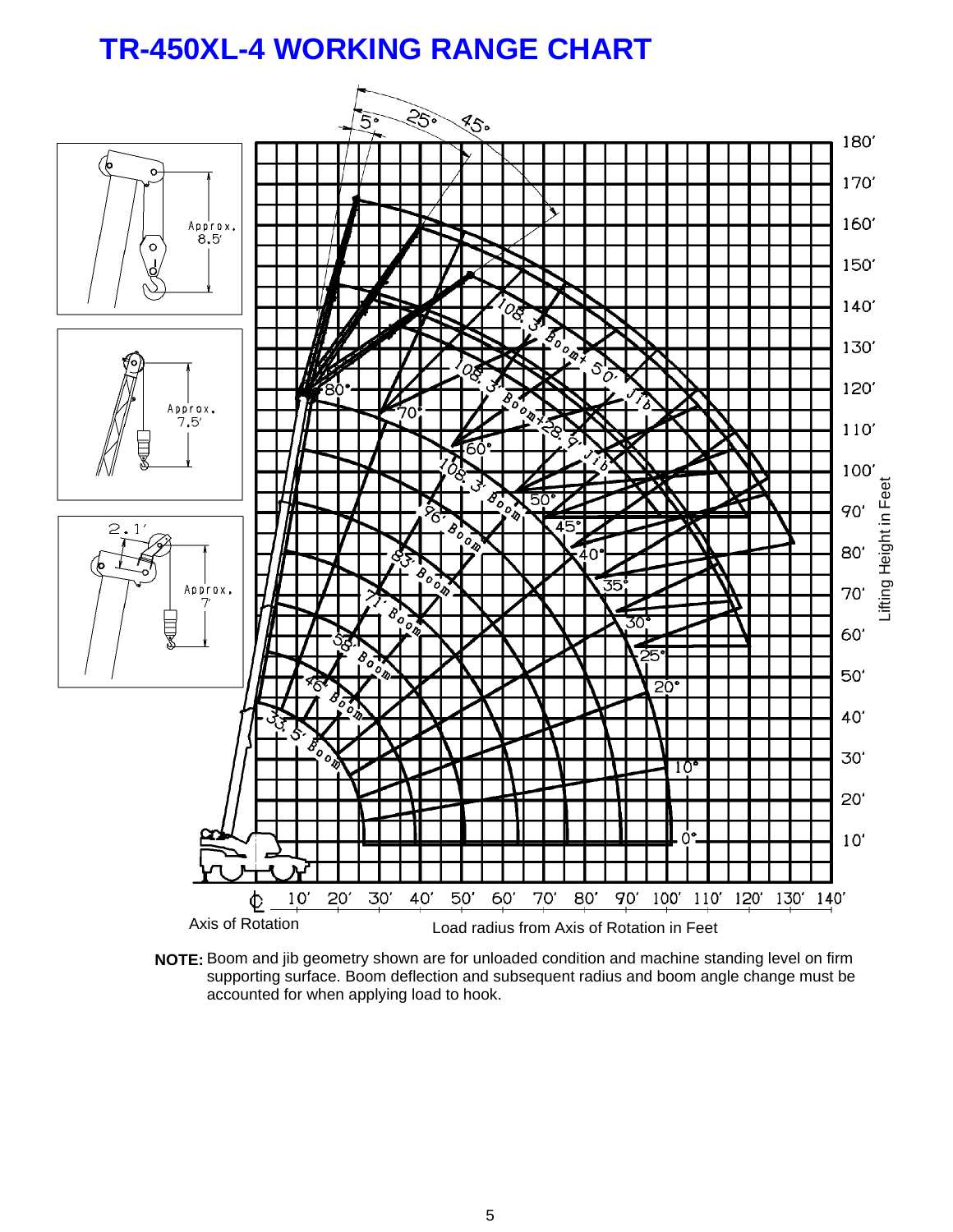## **TR-450XL-4 WORKING RANGE CHART**



**NOTE:** Boom and jib geometry shown are for unloaded condition and machine standing level on firm supporting surface. Boom deflection and subsequent radius and boom angle change must be accounted for when applying load to hook.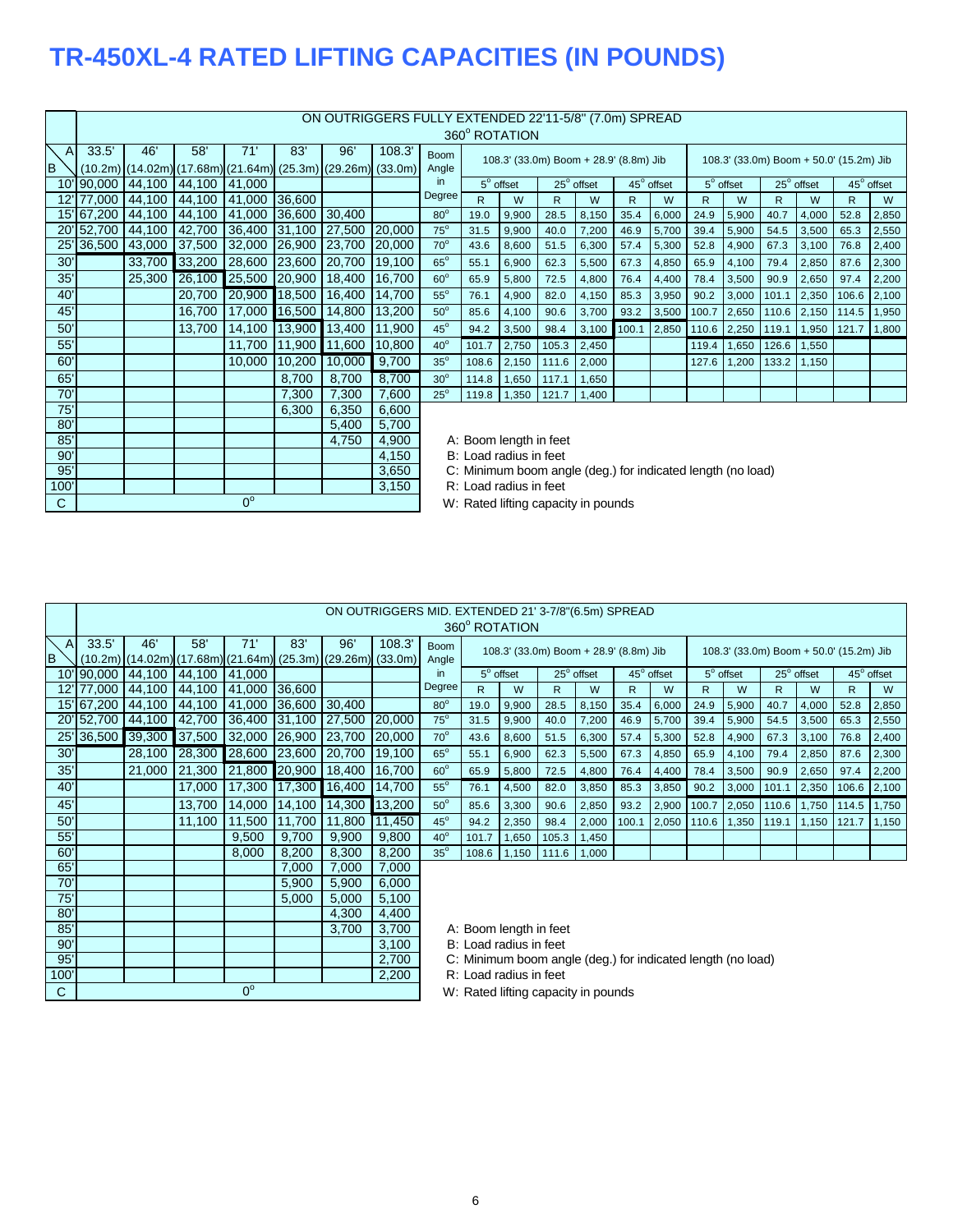## **TR-450XL-4 RATED LIFTING CAPACITIES (IN POUNDS)**

 $0^\circ$ 

 $0^\circ$ 

|                 |            |                                                               |        |               |               | ON OUTRIGGERS FULLY EXTENDED 22'11-5/8" (7.0m) SPREAD |                    |                                                  |       |                                        |       |            |             |            |       |                                         |       |            |             |            |
|-----------------|------------|---------------------------------------------------------------|--------|---------------|---------------|-------------------------------------------------------|--------------------|--------------------------------------------------|-------|----------------------------------------|-------|------------|-------------|------------|-------|-----------------------------------------|-------|------------|-------------|------------|
|                 |            |                                                               |        |               |               |                                                       |                    |                                                  |       | 360° ROTATION                          |       |            |             |            |       |                                         |       |            |             |            |
| $\mathsf{A}$    | 33.5'      | 46'                                                           | 58'    | 71            | 83'           | 96'                                                   | 108.3              | <b>Boom</b>                                      |       |                                        |       |            |             |            |       |                                         |       |            |             |            |
| B               |            | $(10.2m)$ (14.02m) (17.68m) (21.64m) (25.3m) (29.26m) (33.0m) |        |               |               |                                                       |                    | Angle                                            |       | 108.3' (33.0m) Boom + 28.9' (8.8m) Jib |       |            |             |            |       | 108.3' (33.0m) Boom + 50.0' (15.2m) Jib |       |            |             |            |
| 10'             | 90,000     | 44,100                                                        | 44,100 | 41,000        |               |                                                       |                    | in                                               |       | $5^\circ$ offset                       |       | 25° offset |             | 45° offset |       | $5^\circ$ offset                        |       | 25° offset |             | 45° offset |
| 12'             | 77,000     | 44.100                                                        | 44.100 | 41,000        | 36,600        |                                                       |                    | Degree                                           | R.    | W                                      | R     | W          | R.          | W          | R     | W                                       | R.    | W          | R.          | W          |
|                 | 15'67,200  | 44,100                                                        | 44,100 | 41,000        | 36,600        | 30,400                                                |                    | $80^\circ$                                       | 19.0  |                                        | 28.5  | 8,150      | 35.4        | 6,000      | 24.9  | 5,900                                   | 40.7  | 4,000      | 52.8        | 2,850      |
|                 | 20'52,700  | 44,100                                                        | 42,700 | 36,400        | 31,100 27,500 |                                                       | 20,000             | $75^\circ$                                       | 31.5  | 9,900                                  |       |            | 46.9        |            |       |                                         |       |            | 65.3        |            |
|                 |            |                                                               |        | 32,000        | 26,900        |                                                       |                    | $70^\circ$                                       |       | 9,900                                  | 40.0  | 7,200      |             | 5,700      | 39.4  | 5,900                                   | 54.5  | 3,500      |             | 2,550      |
|                 | 25' 36,500 | 43,000                                                        | 37,500 |               |               | 23,700                                                | 20,000             |                                                  | 43.6  | 8,600                                  | 51.5  | 6,300      | 57.4        | 5,300      | 52.8  | 4,900                                   | 67.3  | 3,100      | 76.8        | 2,400      |
| 30 <sup>′</sup> |            | 33,700                                                        | 33,200 | 28,600        | 23,600        | 20,700                                                | 19,100             | $65^\circ$                                       | 55.1  | 6,900                                  | 62.3  | 5,500      | 67.3        | 4,850      | 65.9  | 4,100                                   | 79.4  | 2,850      | 87.6        | 2,300      |
| 35'             |            | 25,300                                                        | 26,100 | 25,500        | 20,900        | 18,400                                                | 16,700             | $60^\circ$                                       | 65.9  | 5,800                                  | 72.5  | 4,800      | 76.4        | 4,400      | 78.4  | 3,500                                   | 90.9  | 2,650      | 97.4        | 2,200      |
| 40'             |            |                                                               | 20.700 | 20,900 18,500 |               | 16,400                                                | 14.700             | $55^\circ$                                       | 76.1  | 4,900                                  | 82.0  | 4,150      | 85.3        | 3,950      | 90.2  | 3,000                                   | 101.1 | 2,350      | 106.6       | 2,100      |
| 45'             |            |                                                               | 16,700 | 17,000        | 16,500        | 14,800                                                | 13,200             | $50^\circ$                                       | 85.6  | 4,100                                  | 90.6  | 3,700      | 93.2        | 3,500      | 100.7 | 2,650                                   | 110.6 | 2,150      | 114.5       | 1,950      |
| 50'             |            |                                                               | 13,700 | 14,100        | 13,900        | 13,400                                                | 11,900             | $45^\circ$                                       | 94.2  | 3,500                                  | 98.4  | 3,100      | 100.1 2,850 |            |       | 110.6 2,250                             | 119.1 |            | 1,950 121.7 | 1,800      |
| 55'             |            |                                                               |        | 11,700        | 11,900        | 11,600                                                | 10,800             | $40^\circ$                                       | 101.7 | 2,750                                  | 105.3 | 2,450      |             |            | 119.4 | 1,650                                   | 126.6 | 1,550      |             |            |
| 60'             |            |                                                               |        | 10,000        | 10,200        | 10,000                                                | 9,700              | $35^\circ$                                       | 108.6 | 2,150                                  | 111.6 | 2,000      |             |            | 127.6 | 1,200                                   | 133.2 | 1,150      |             |            |
| 65'             |            |                                                               |        |               | 8,700         | 8,700                                                 | 8,700              | $30^\circ$                                       | 114.8 | 1,650                                  | 117.1 | 1,650      |             |            |       |                                         |       |            |             |            |
| 70'             |            |                                                               |        |               | 7,300         | 7,300                                                 | 7,600              | $25^\circ$                                       | 119.8 | 1,350                                  | 121.7 | 1,400      |             |            |       |                                         |       |            |             |            |
| 75'             |            |                                                               |        |               | 6,300         | 6,350                                                 | 6,600              |                                                  |       |                                        |       |            |             |            |       |                                         |       |            |             |            |
| 80'             |            |                                                               |        |               |               | 5,400                                                 | 5,700              |                                                  |       |                                        |       |            |             |            |       |                                         |       |            |             |            |
| 85'             |            |                                                               |        |               |               | 4,750                                                 | 4,900              |                                                  |       |                                        |       |            |             |            |       |                                         |       |            |             |            |
| $\Omega$        |            |                                                               |        |               |               |                                                       | $A$ $A$ $E$ $\cap$ | A: Boom length in feet<br>Dul ood rodius in foot |       |                                        |       |            |             |            |       |                                         |       |            |             |            |

90' B: Load radius in feet<br>
95' B: Load radius in feet<br>
95' B: Load radius in feet 95' 3,650 C: Minimum boom angle (deg.) for indicated length (no load)<br>100' 3,150 R: Load radius in feet

R: Load radius in feet

C C C C W: Rated lifting capacity in pounds

|              | ON OUTRIGGERS MID. EXTENDED 21' 3-7/8" (6.5m) SPREAD |        |                                                               |        |               |        |        |                        |              |                        |              |                                                             |       |            |              |                                         |              |            |       |             |
|--------------|------------------------------------------------------|--------|---------------------------------------------------------------|--------|---------------|--------|--------|------------------------|--------------|------------------------|--------------|-------------------------------------------------------------|-------|------------|--------------|-----------------------------------------|--------------|------------|-------|-------------|
|              |                                                      |        |                                                               |        |               |        |        |                        |              |                        |              |                                                             |       |            |              |                                         |              |            |       |             |
|              |                                                      |        |                                                               |        |               |        |        |                        |              | 360° ROTATION          |              |                                                             |       |            |              |                                         |              |            |       |             |
| $\mathsf{A}$ | 33.5'                                                | 46'    | 58'                                                           | 71'    | 83'           | 96'    | 108.3  | <b>Boom</b>            |              |                        |              | 108.3' (33.0m) Boom + 28.9' (8.8m) Jib                      |       |            |              | 108.3' (33.0m) Boom + 50.0' (15.2m) Jib |              |            |       |             |
| B            |                                                      |        | $(10.2m)$ (14.02m) (17.68m) (21.64m) (25.3m) (29.26m) (33.0m) |        |               |        |        | Angle                  |              |                        |              |                                                             |       |            |              |                                         |              |            |       |             |
| 10'          | 190,000                                              | 44,100 | 44,100                                                        | 41,000 |               |        |        | in                     |              | $5^\circ$ offset       |              | 25° offset                                                  |       | 45° offset |              | $5^\circ$ offset                        |              | 25° offset |       | 45° offset  |
| 12           | 77,000                                               | 44,100 | 44,100                                                        | 41,000 | 36,600        |        |        | Degree                 | $\mathsf{R}$ | W                      | $\mathsf{R}$ | W                                                           | R     | W          | $\mathsf{R}$ | W                                       | $\mathsf{R}$ | W          | R.    | W           |
|              | 15'67,200                                            | 44,100 | 44,100                                                        | 41,000 | 36,600 30,400 |        |        | $80^\circ$             | 19.0         | 9,900                  | 28.5         | 8,150                                                       | 35.4  | 6,000      | 24.9         | 5,900                                   | 40.7         | 4,000      | 52.8  | 2,850       |
| 20'          | 52,700                                               | 44,100 | 42,700                                                        | 36,400 | 31,100        | 27,500 | 20,000 | $75^\circ$             | 31.5         | 9,900                  | 40.0         | 7,200                                                       | 46.9  | 5,700      | 39.4         | 5,900                                   | 54.5         | 3,500      | 65.3  | 2,550       |
|              | 25' 36,500                                           | 39,300 | 37,500                                                        | 32,000 | 26,900        | 23,700 | 20,000 | $70^\circ$             | 43.6         | 8,600                  | 51.5         | 6,300                                                       | 57.4  | 5,300      | 52.8         | 4,900                                   | 67.3         | 3,100      | 76.8  | 2,400       |
| 30'          |                                                      | 28,100 | 28,300                                                        | 28,600 | 23,600        | 20,700 | 19,100 | $65^\circ$             | 55.1         | 6,900                  | 62.3         | 5,500                                                       | 67.3  | 4,850      | 65.9         | 4,100                                   | 79.4         | 2,850      | 87.6  | 2,300       |
| 35'          |                                                      | 21,000 | 21,300                                                        | 21,800 | 20,900        | 18,400 | 16,700 | $60^\circ$             | 65.9         | 5,800                  | 72.5         | 4,800                                                       | 76.4  | 4,400      | 78.4         | 3,500                                   | 90.9         | 2,650      | 97.4  | 2,200       |
| 40'          |                                                      |        | 17,000                                                        | 17,300 | 17,300        | 16,400 | 14,700 | $55^\circ$             | 76.1         | 4,500                  | 82.0         | 3,850                                                       | 85.3  | 3,850      | 90.2         | 3,000                                   | 101.1        | 2,350      |       | 106.6 2,100 |
| 45'          |                                                      |        | 13,700                                                        | 14,000 | 14,100        | 14,300 | 13,200 | $50^\circ$             | 85.6         | 3,300                  | 90.6         | 2,850                                                       | 93.2  | 2,900      | 100.7        | 2,050                                   | 110.6        | 1,750      | 114.5 | 1,750       |
| 50'          |                                                      |        | 11,100                                                        | 11,500 | 11,700        | 11,800 | 11,450 | $45^\circ$             | 94.2         | 2,350                  | 98.4         | 2,000                                                       | 100.1 | 2,050      | 110.6        | 1,350                                   | 119.1        | 1,150      | 121.7 | 1,150       |
| 55'          |                                                      |        |                                                               | 9,500  | 9,700         | 9,900  | 9,800  | $40^\circ$             | 101.7        | 1,650                  | 105.3        | 1,450                                                       |       |            |              |                                         |              |            |       |             |
| 60'          |                                                      |        |                                                               | 8,000  | 8,200         | 8,300  | 8,200  | $35^\circ$             | 108.6        | 1,150                  | 111.6        | 1,000                                                       |       |            |              |                                         |              |            |       |             |
| 65'          |                                                      |        |                                                               |        | 7,000         | 7,000  | 7,000  |                        |              |                        |              |                                                             |       |            |              |                                         |              |            |       |             |
| 70'          |                                                      |        |                                                               |        | 5,900         | 5,900  | 6,000  |                        |              |                        |              |                                                             |       |            |              |                                         |              |            |       |             |
| 75'          |                                                      |        |                                                               |        | 5,000         | 5,000  | 5,100  |                        |              |                        |              |                                                             |       |            |              |                                         |              |            |       |             |
| 80'          |                                                      |        |                                                               |        |               | 4,300  | 4,400  |                        |              |                        |              |                                                             |       |            |              |                                         |              |            |       |             |
| 85'          |                                                      |        |                                                               |        |               | 3,700  | 3,700  |                        |              | A: Boom length in feet |              |                                                             |       |            |              |                                         |              |            |       |             |
| 90'          |                                                      |        |                                                               |        |               |        | 3,100  |                        |              | B: Load radius in feet |              |                                                             |       |            |              |                                         |              |            |       |             |
| 95'          |                                                      |        |                                                               |        |               |        | 2,700  |                        |              |                        |              | C: Minimum boom angle (deg.) for indicated length (no load) |       |            |              |                                         |              |            |       |             |
| 100'         |                                                      |        |                                                               |        |               |        | 2,200  | R: Load radius in feet |              |                        |              |                                                             |       |            |              |                                         |              |            |       |             |

C C C C W: Rated lifting capacity in pounds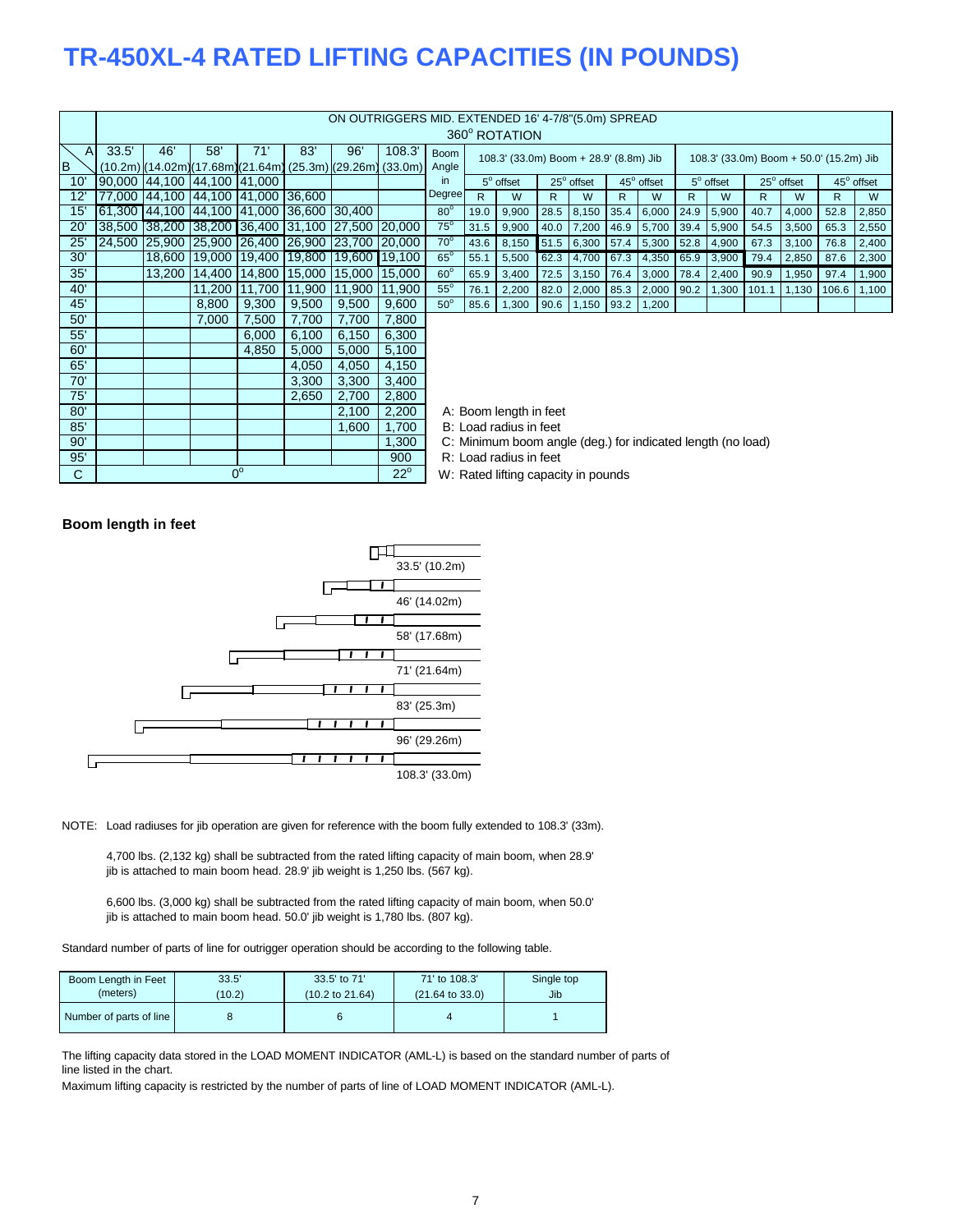### **TR-450XL-4 RATED LIFTING CAPACITIES (IN POUNDS)**

|              |               |        |                             |                                           |              | ON OUTRIGGERS MID. EXTENDED 16' 4-7/8"(5.0m) SPREAD     |               |                                     |      |                                                             |      |                   |      |                 |      |                  |                                         |                   |       |            |
|--------------|---------------|--------|-----------------------------|-------------------------------------------|--------------|---------------------------------------------------------|---------------|-------------------------------------|------|-------------------------------------------------------------|------|-------------------|------|-----------------|------|------------------|-----------------------------------------|-------------------|-------|------------|
|              |               |        |                             |                                           |              |                                                         |               |                                     |      | 360° ROTATION                                               |      |                   |      |                 |      |                  |                                         |                   |       |            |
| $\mathsf{A}$ | 33.5'         | 46'    | 58'                         | 71                                        | 83'          | 96'                                                     | 108.3'        | <b>Boom</b>                         |      | 108.3' (33.0m) Boom + 28.9' (8.8m) Jib                      |      |                   |      |                 |      |                  | 108.3' (33.0m) Boom + 50.0' (15.2m) Jib |                   |       |            |
| B            |               |        |                             |                                           |              | $(10.2m)(14.02m)(17.68m)(21.64m)(25.3m)(29.26m)(33.0m)$ |               | Angle                               |      |                                                             |      |                   |      |                 |      |                  |                                         |                   |       |            |
| 10'          |               |        | 90,000 44,100 44,100 41,000 |                                           |              |                                                         |               | in.                                 |      | $5^\circ$ offset                                            |      | $25^\circ$ offset |      | 45° offset      |      | $5^\circ$ offset |                                         | $25^\circ$ offset |       | 45° offset |
| 12'          | 77,000 44,100 |        |                             | 44,100 41,000 36,600                      |              |                                                         |               | Degree                              | R.   | W                                                           | R    | W                 | R    | W               | R    | W                | R                                       | W                 | R.    | W          |
| 15'          |               |        |                             | 61,300 44,100 44,100 41,000 36,600 30,400 |              |                                                         |               | $80^\circ$                          | 19.0 | 9,900                                                       | 28.5 | 8,150             | 35.4 | 6,000           | 24.9 | 5,900            | 40.7                                    | 4,000             | 52.8  | 2,850      |
| 20           | 38,500 38,200 |        |                             | 38,200 36,400 31,100 27,500               |              |                                                         | <b>20,000</b> | $75^\circ$                          | 31.5 | 9,900                                                       | 40.0 | 7,200             | 46.9 | 5,700           | 39.4 | 5,900            | 54.5                                    | 3,500             | 65.3  | 2,550      |
| 25'          | 24,500 25,900 |        |                             | 25,900 26,400 26,900 23,700               |              |                                                         | 20,000        | $70^\circ$                          | 43.6 | 8,150                                                       | 51.5 | 6,300             |      | 57.4 5,300 52.8 |      | 4,900            | 67.3                                    | 3,100             | 76.8  | 2,400      |
| 30'          |               | 18,600 | 19,000 19,400               |                                           | 19,800       | 19,600                                                  | 19,100        | $65^\circ$                          | 55.1 | 5,500                                                       | 62.3 | 4,700             | 67.3 | 4,350           | 65.9 | 3,900            | 79.4                                    | 2,850             | 87.6  | 2,300      |
| 35'          |               | 13,200 | 14,400 14,800               |                                           | 15,000       | 15,000                                                  | 15,000        | $60^\circ$                          | 65.9 | 3,400                                                       | 72.5 | 3,150             | 76.4 | 3,000           | 78.4 | 2,400            | 90.9                                    | 1,950             | 97.4  | 1,900      |
| 40'          |               |        | 11,200                      | 11,700                                    | 11,900       | 11,900                                                  | 11,900        | $55^\circ$                          | 76.1 | 2,200                                                       | 82.0 | 2,000             | 85.3 | 2,000           | 90.2 | 1,300            | 101.1                                   | 1,130             | 106.6 | 1,100      |
| 45'          |               |        | 8,800                       | 9,300                                     | 9,500        | 9,500                                                   | 9,600         | $50^\circ$                          | 85.6 | 1,300                                                       | 90.6 | 1,150             | 93.2 | 1,200           |      |                  |                                         |                   |       |            |
| 50'          |               |        | 7,000                       | 7,500                                     | 7,700        | 7,700                                                   | 7,800         |                                     |      |                                                             |      |                   |      |                 |      |                  |                                         |                   |       |            |
| 55'          |               |        |                             | 6,000                                     | 6,100        | 6,150                                                   | 6,300         |                                     |      |                                                             |      |                   |      |                 |      |                  |                                         |                   |       |            |
| 60'          |               |        |                             | 4,850                                     | 5,000        | 5,000                                                   | 5,100         |                                     |      |                                                             |      |                   |      |                 |      |                  |                                         |                   |       |            |
| 65'          |               |        |                             |                                           | 4,050        | 4,050                                                   | 4,150         |                                     |      |                                                             |      |                   |      |                 |      |                  |                                         |                   |       |            |
| 70'          |               |        |                             |                                           | 3,300        | 3,300                                                   | 3,400         |                                     |      |                                                             |      |                   |      |                 |      |                  |                                         |                   |       |            |
| 75'          |               |        |                             |                                           | 2,650        | 2,700                                                   | 2,800         |                                     |      |                                                             |      |                   |      |                 |      |                  |                                         |                   |       |            |
| 80'          |               |        |                             |                                           |              | 2,100                                                   | 2,200         |                                     |      | A: Boom length in feet                                      |      |                   |      |                 |      |                  |                                         |                   |       |            |
| 85'          |               |        |                             |                                           |              | 1,600                                                   | 1,700         |                                     |      | B: Load radius in feet                                      |      |                   |      |                 |      |                  |                                         |                   |       |            |
| 90'          |               |        |                             |                                           |              |                                                         | 1,300         |                                     |      | C: Minimum boom angle (deg.) for indicated length (no load) |      |                   |      |                 |      |                  |                                         |                   |       |            |
| 95'          |               |        |                             |                                           |              |                                                         | 900           |                                     |      | R: Load radius in feet                                      |      |                   |      |                 |      |                  |                                         |                   |       |            |
| C            |               |        |                             | $0^{\circ}$                               | $22^{\circ}$ |                                                         |               | W: Rated lifting capacity in pounds |      |                                                             |      |                   |      |                 |      |                  |                                         |                   |       |            |

W: Rated lifting capacity in pounds

### **Boom length in feet**



NOTE: Load radiuses for jib operation are given for reference with the boom fully extended to 108.3' (33m).

4,700 lbs. (2,132 kg) shall be subtracted from the rated lifting capacity of main boom, when 28.9' jib is attached to main boom head. 28.9' jib weight is 1,250 lbs. (567 kg).

6,600 lbs. (3,000 kg) shall be subtracted from the rated lifting capacity of main boom, when 50.0' jib is attached to main boom head. 50.0' jib weight is 1,780 lbs. (807 kg).

Standard number of parts of line for outrigger operation should be according to the following table.

| Boom Length in Feet     | 33.5'  | 33.5' to 71'               | 71' to 108.3'              | Single top |
|-------------------------|--------|----------------------------|----------------------------|------------|
| (meters)                | (10.2) | $(10.2 \text{ to } 21.64)$ | $(21.64 \text{ to } 33.0)$ | Jib        |
| Number of parts of line |        |                            |                            |            |

The lifting capacity data stored in the LOAD MOMENT INDICATOR (AML-L) is based on the standard number of parts of line listed in the chart.

Maximum lifting capacity is restricted by the number of parts of line of LOAD MOMENT INDICATOR (AML-L).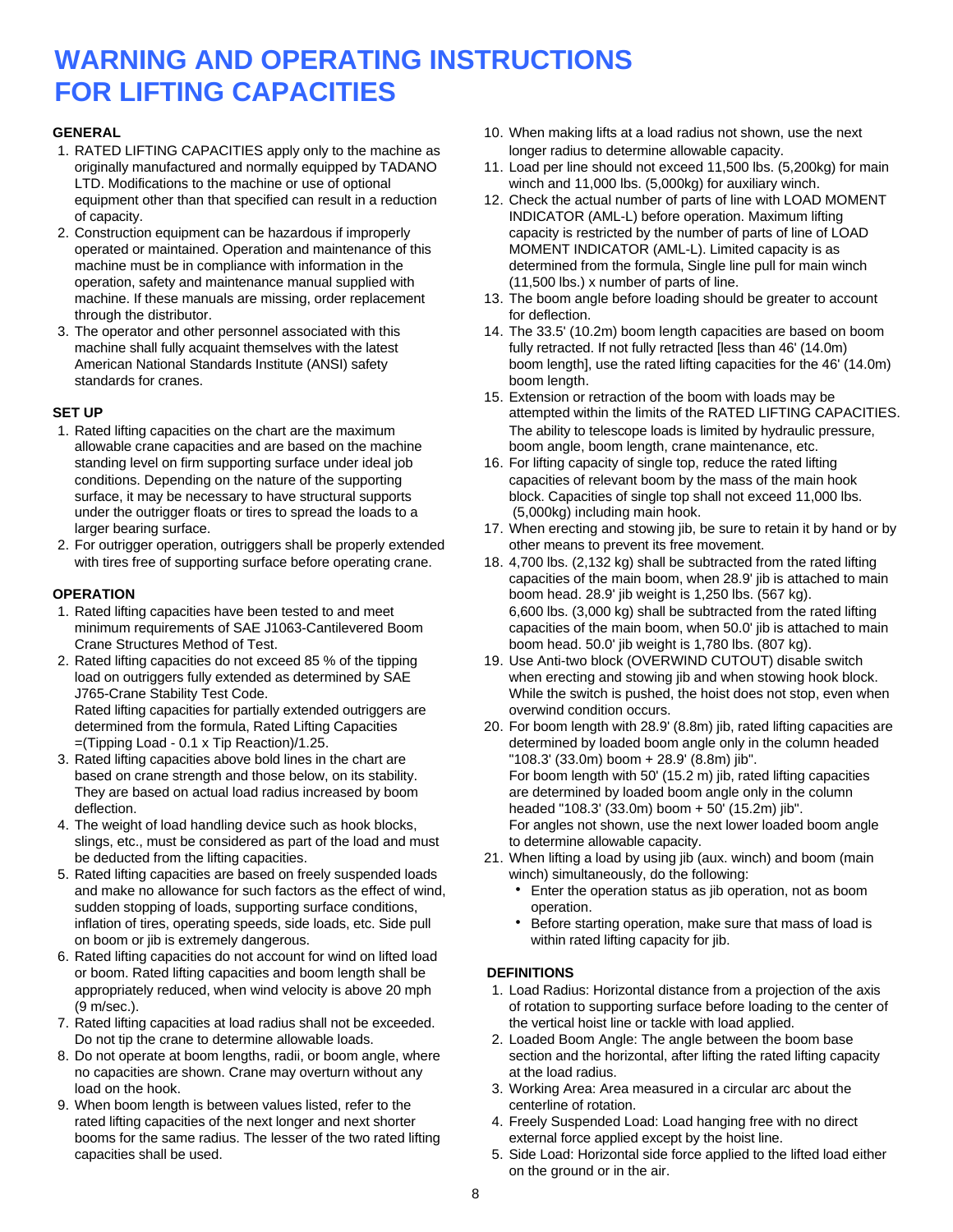### **WARNING AND OPERATING INSTRUCTIONS FOR LIFTING CAPACITIES**

- 1. RATED LIFTING CAPACITIES apply only to the machine as longer radius to determine allowable capacity. LTD. Modifications to the machine or use of optional winch and 11,000 lbs. (5,000kg) for auxiliary winch. of capacity. INDICATOR (AML-L) before operation. Maximum lifting
- operated or maintained. Operation and maintenance of this MOMENT INDICATOR (AML-L). Limited capacity is as operation, safety and maintenance manual supplied with (11,500 lbs.) x number of parts of line. through the distributor. The contract of the distributor. The contract of the distributor of the contract of the contract of the contract of the contract of the contract of the contract of the contract of the contract of t
- standards for cranes. **boom length.** boom length.

- allowable crane capacities and are based on the machine boom angle, boom length, crane maintenance, etc. standing level on firm supporting surface under ideal job 16. For lifting capacity of single top, reduce the rated lifting under the outrigger floats or tires to spread the loads to a (5,000kg) including main hook.
- 2. For outrigger operation, outriggers shall be properly extended other means to prevent its free movement.

- Crane Structures Method of Test. **boom head.** 50.0' jib weight is 1,780 lbs. (807 kg).
- Rated lifting capacities for partially extended outriggers are **overwind condition occurs.**
- 3. Rated lifting capacities above bold lines in the chart are "108.3' (33.0m) boom + 28.9' (8.8m) jib". deflection. headed "108.3' (33.0m) boom + 50' (15.2m) jib".
- slings, etc., must be considered as part of the load and must to determine allowable capacity.
- 5. Rated lifting capacities are based on freely suspended loads winch) simultaneously, do the following: and make no allowance for such factors as the effect of wind, **here the operation status as jib operation**, not as boom sudden stopping of loads, supporting surface conditions, operation. inflation of tires, operating speeds, side loads, etc. Side pull **Before starting operation**, make sure that mass of load is on boom or jib is extremely dangerous. within rated lifting capacity for jib.
- 6. Rated lifting capacities do not account for wind on lifted load or boom. Rated lifting capacities and boom length shall be **DEFINITIONS**
- 7. Rated lifting capacities at load radius shall not be exceeded. The vertical hoist line or tackle with load applied. Do not tip the crane to determine allowable loads. 2. Loaded Boom Angle: The angle between the boom base
- no capacities are shown. Crane may overturn without any at the load radius. load on the hook. 3. Working Area: Area measured in a circular arc about the
- 9. When boom length is between values listed, refer to the centerline of rotation. booms for the same radius. The lesser of the two rated lifting external force applied except by the hoist line.
- **GENERAL** 6-10. When making lifts at a load radius not shown, use the next
	- originally manufactured and normally equipped by TADANO 11. Load per line should not exceed 11,500 lbs. (5,200kg) for main
- equipment other than that specified can result in a reduction 12. Check the actual number of parts of line with LOAD MOMENT 2. Construction equipment can be hazardous if improperly capacity is restricted by the number of parts of line of LOAD machine must be in compliance with information in the determined from the formula, Single line pull for main winch
	- machine. If these manuals are missing, order replacement 13. The boom angle before loading should be greater to account
- 3. The operator and other personnel associated with this 14. The 33.5' (10.2m) boom length capacities are based on boom machine shall fully acquaint themselves with the latest fully retracted. If not fully retracted [less than 46' (14.0m) American National Standards Institute (ANSI) safety boom length], use the rated lifting capacities for the 46' (14.0m)
- 15. Extension or retraction of the boom with loads may be **SET UP SET UP EXAMPLE ATTER ATTED ATTED LIFTING CAPACITIES.** 1. Rated lifting capacities on the chart are the maximum The ability to telescope loads is limited by hydraulic pressure,
	- conditions. Depending on the nature of the supporting capacities of relevant boom by the mass of the main hook surface, it may be necessary to have structural supports block. Capacities of single top shall not exceed 11,000 lbs.
	- larger bearing surface. 17. When erecting and stowing jib, be sure to retain it by hand or by
- with tires free of supporting surface before operating crane. 18. 4,700 lbs. (2,132 kg) shall be subtracted from the rated lifting capacities of the main boom, when 28.9' jib is attached to main **OPERATION boom head. 28.9' jib weight is 1,250 lbs. (567 kg).** boom head. 28.9' jib weight is 1,250 lbs. (567 kg). 1. Rated lifting capacities have been tested to and meet 6,600 lbs. (3,000 kg) shall be subtracted from the rated lifting minimum requirements of SAE J1063-Cantilevered Boom capacities of the main boom, when 50.0' jib is attached to main
- 2. Rated lifting capacities do not exceed 85 % of the tipping 19. Use Anti-two block (OVERWIND CUTOUT) disable switch load on outriggers fully extended as determined by SAE when erecting and stowing jib and when stowing hook block. J765-Crane Stability Test Code. While the switch is pushed, the hoist does not stop, even when
- determined from the formula, Rated Lifting Capacities 20. For boom length with 28.9' (8.8m) jib, rated lifting capacities are =(Tipping Load - 0.1 x Tip Reaction)/1.25. determined by loaded boom angle only in the column headed based on crane strength and those below, on its stability. For boom length with 50' (15.2 m) jib, rated lifting capacities They are based on actual load radius increased by boom are determined by loaded boom angle only in the column 4. The weight of load handling device such as hook blocks, For angles not shown, use the next lower loaded boom angle
	- be deducted from the lifting capacities. 21. When lifting a load by using jib (aux. winch) and boom (main
		-
		-

- appropriately reduced, when wind velocity is above 20 mph 1. Load Radius: Horizontal distance from a projection of the axis (9 m/sec.). of rotation to supporting surface before loading to the center of
- 8. Do not operate at boom lengths, radii, or boom angle, where section and the horizontal, after lifting the rated lifting capacity
	-
	- rated lifting capacities of the next longer and next shorter 4. Freely Suspended Load: Load hanging free with no direct
	- capacities shall be used. 5. Side Load: Horizontal side force applied to the lifted load either on the ground or in the air.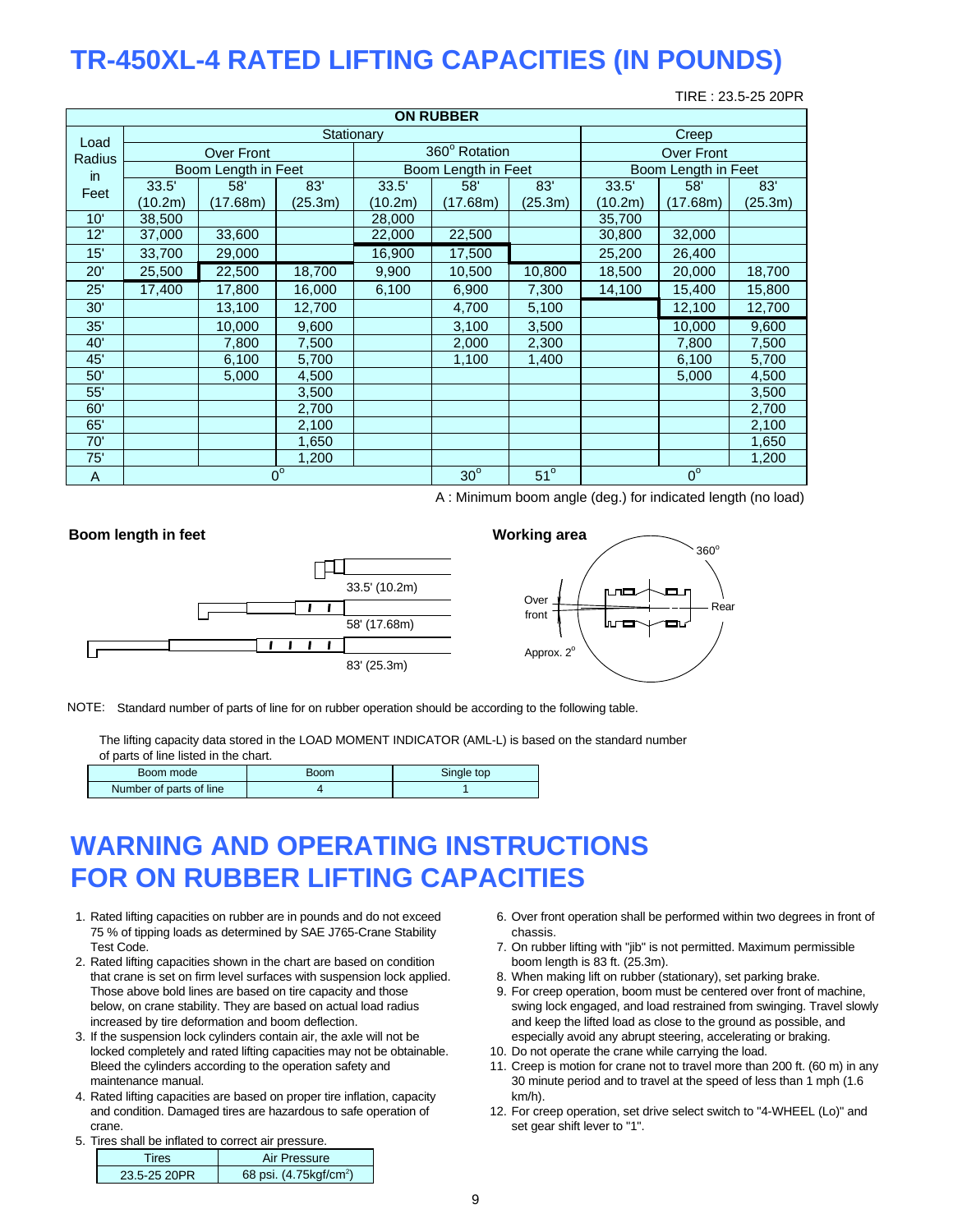## **TR-450XL-4 RATED LIFTING CAPACITIES (IN POUNDS)**

TIRE : 23.5-25 20PR

|        | <b>ON RUBBER</b> |                     |             |         |                     |            |                     |             |         |  |  |  |  |  |
|--------|------------------|---------------------|-------------|---------|---------------------|------------|---------------------|-------------|---------|--|--|--|--|--|
| Load   |                  |                     | Stationary  |         |                     |            |                     | Creep       |         |  |  |  |  |  |
| Radius |                  | Over Front          |             |         | 360° Rotation       |            | <b>Over Front</b>   |             |         |  |  |  |  |  |
| in.    |                  | Boom Length in Feet |             |         | Boom Length in Feet |            | Boom Length in Feet |             |         |  |  |  |  |  |
| Feet   | 33.5'            | 58'                 | 83'         | 33.5'   | 58'                 | 83'        | 33.5'               | 58'         | 83'     |  |  |  |  |  |
|        | (10.2m)          | (17.68m)            | (25.3m)     | (10.2m) | (17.68m)            | (25.3m)    | (10.2m)             | (17.68m)    | (25.3m) |  |  |  |  |  |
| 10'    | 38,500           |                     |             | 28,000  |                     |            | 35,700              |             |         |  |  |  |  |  |
| 12'    | 37,000           | 33,600              |             | 22,000  | 22,500              |            | 30,800              | 32,000      |         |  |  |  |  |  |
| 15'    | 33,700           | 29,000              |             | 16,900  | 17,500              |            | 25,200              | 26,400      |         |  |  |  |  |  |
| 20'    | 25,500           | 22,500              | 18,700      | 9,900   | 10,500              | 10,800     | 18,500              | 20,000      | 18,700  |  |  |  |  |  |
| 25'    | 17,400           | 17,800              | 16,000      | 6,100   | 6,900               | 7,300      | 14,100              | 15,400      | 15,800  |  |  |  |  |  |
| 30'    |                  | 13,100              | 12,700      |         | 4,700               | 5,100      |                     | 12,100      | 12,700  |  |  |  |  |  |
| 35'    |                  | 10,000              | 9,600       |         | 3,100               | 3,500      |                     | 10,000      | 9,600   |  |  |  |  |  |
| 40'    |                  | 7,800               | 7,500       |         | 2,000               | 2,300      |                     | 7,800       | 7,500   |  |  |  |  |  |
| 45'    |                  | 6,100               | 5,700       |         | 1,100               | 1,400      |                     | 6,100       | 5,700   |  |  |  |  |  |
| 50'    |                  | 5,000               | 4,500       |         |                     |            |                     | 5,000       | 4,500   |  |  |  |  |  |
| 55'    |                  |                     | 3,500       |         |                     |            |                     |             | 3,500   |  |  |  |  |  |
| 60'    |                  |                     | 2,700       |         |                     |            |                     |             | 2,700   |  |  |  |  |  |
| 65'    |                  |                     | 2,100       |         |                     |            |                     |             | 2,100   |  |  |  |  |  |
| 70'    |                  |                     | 1,650       |         |                     |            |                     |             | 1,650   |  |  |  |  |  |
| 75'    |                  |                     | 1,200       |         |                     |            | 1,200               |             |         |  |  |  |  |  |
| A      |                  |                     | $0^{\circ}$ |         | $30^\circ$          | $51^\circ$ |                     | $0^{\circ}$ |         |  |  |  |  |  |

A : Minimum boom angle (deg.) for indicated length (no load)



NOTE: Standard number of parts of line for on rubber operation should be according to the following table.

The lifting capacity data stored in the LOAD MOMENT INDICATOR (AML-L) is based on the standard number of parts of line listed in the chart.

| Boom mode               | <b>Boom</b> | Single top |
|-------------------------|-------------|------------|
| Number of parts of line |             |            |

### **WARNING AND OPERATING INSTRUCTIONS FOR ON RUBBER LIFTING CAPACITIES**

- 75 % of tipping loads as determined by SAE J765-Crane Stability chassis. Test Code. 7. On rubber lifting with "jib" is not permitted. Maximum permissible
- 2. Rated lifting capacities shown in the chart are based on condition boom length is 83 ft. (25.3m). that crane is set on firm level surfaces with suspension lock applied. 8. When making lift on rubber (stationary), set parking brake. Those above bold lines are based on tire capacity and those 9. For creep operation, boom must be centered over front of machine, increased by tire deformation and boom deflection. **And has a set of the lifted load as close** to the ground as possible, and
- 3. If the suspension lock cylinders contain air, the axle will not be especially avoid any abrupt steering, accelerating or braking. locked completely and rated lifting capacities may not be obtainable. 10. Do not operate the crane while carrying the load.
- 4. Rated lifting capacities are based on proper tire inflation, capacity km/h). crane. Set gear shift lever to "1".
- 5. Tires shall be inflated to correct air pressure.

| Tires        | Air Pressure                       |
|--------------|------------------------------------|
| 23.5-25 20PR | 68 psi. (4.75kgf/cm <sup>2</sup> ) |

- 1. Rated lifting capacities on rubber are in pounds and do not exceed 6. Over front operation shall be performed within two degrees in front of
	-
	-
	- below, on crane stability. They are based on actual load radius swing lock engaged, and load restrained from swinging. Travel slowly
		-
	- Bleed the cylinders according to the operation safety and 11. Creep is motion for crane not to travel more than 200 ft. (60 m) in any maintenance manual. **30 minute period and to travel at the speed of less than 1 mph (1.6**)
	- and condition. Damaged tires are hazardous to safe operation of 12. For creep operation, set drive select switch to "4-WHEEL (Lo)" and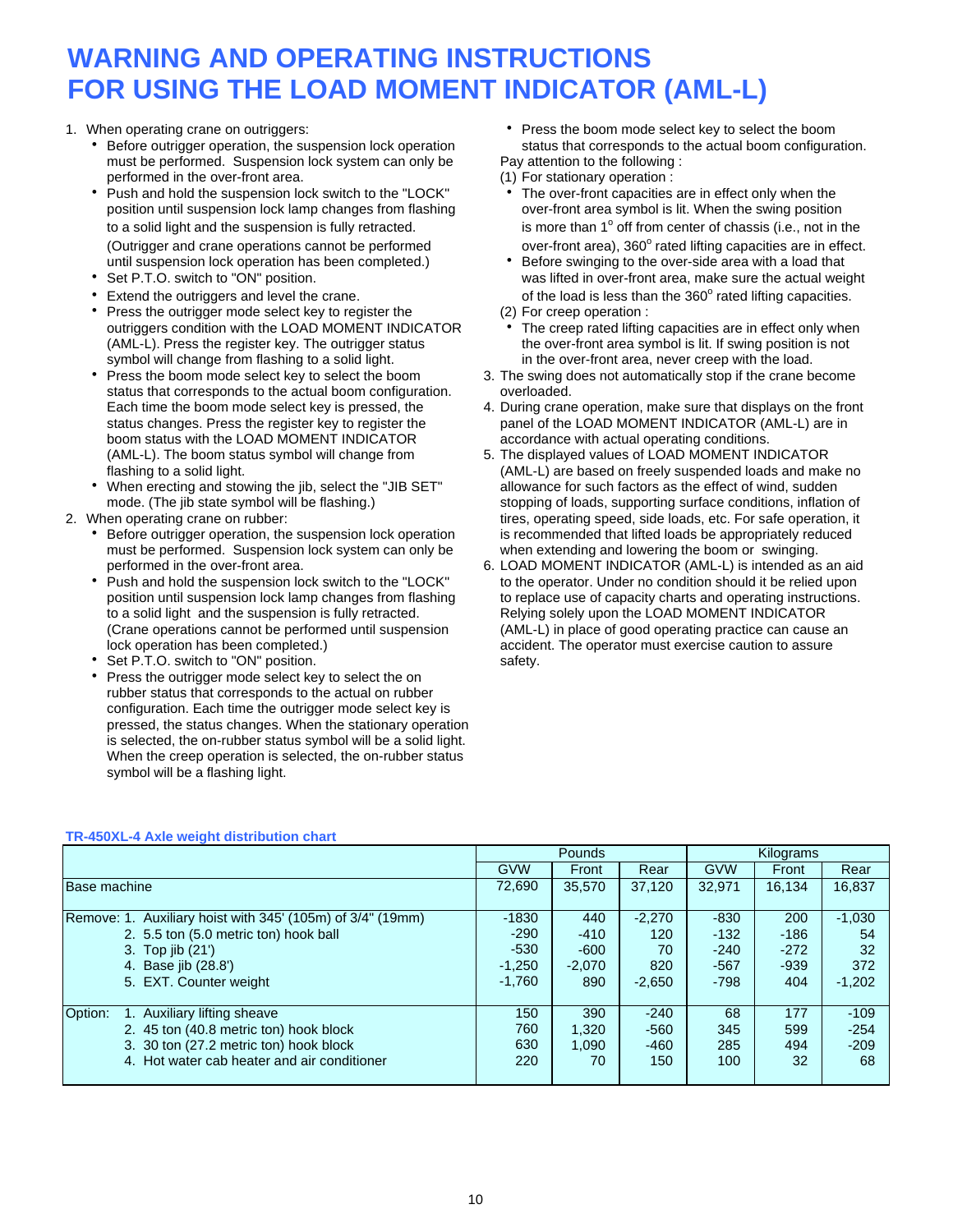### **WARNING AND OPERATING INSTRUCTIONS FOR USING THE LOAD MOMENT INDICATOR (AML-L)**

- Before outrigger operation, the suspension lock operation status that corresponds to the actual boom configuration.<br>
must be performed. Suspension lock system can only be Pay attention to the following : must be performed. Suspension lock system can only be performed in the over-front area. (1) For stationary operation :
- Push and hold the suspension lock switch to the "LOCK" The over-front capacities are in effect only when the position until suspension lock lamp changes from flashing over-front area symbol is lit. When the swing position to a solid light and the suspension is fully retracted. (Outrigger and crane operations cannot be performed until suspension lock operation has been completed.) • Before swinging to the over-side area with a load that
- 
- Extend the outriggers and level the crane.
- Press the outrigger mode select key to register the (2) For creep operation : (AML-L). Press the register key. The outrigger status the over-front area symbol is lit. If swing position is not symbol will change from flashing to a solid light.
- status that corresponds to the actual boom configuration. overloaded. boom status with the LOAD MOMENT INDICATOR accordance with actual operating conditions.
- 
- - must be performed. Suspension lock system can only be when extending and lowering the boom or swinging.
	- lock operation has been completed.) accident. The operator must exercise caution to assure
	- Set P.T.O. switch to "ON" position. Safety.
	- Press the outrigger mode select key to select the on rubber status that corresponds to the actual on rubber configuration. Each time the outrigger mode select key is pressed, the status changes. When the stationary operation is selected, the on-rubber status symbol will be a solid light. When the creep operation is selected, the on-rubber status symbol will be a flashing light.

1. When operating crane on outriggers: https://www.fluit.com/indextable press the boom mode select key to select the boom

- is more than  $1^\circ$  off from center of chassis (i.e., not in the over-front area), 360° rated lifting capacities are in effect.
- Set P.T.O. switch to "ON" position. was lifted in over-front area, make sure the actual weight of the load is less than the  $360^\circ$  rated lifting capacities.
	-
	- outriggers condition with the LOAD MOMENT INDICATOR The creep rated lifting capacities are in effect only when in the over-front area, never creep with the load.
	- Press the boom mode select key to select the boom 3. The swing does not automatically stop if the crane become
	- Each time the boom mode select key is pressed, the 4. During crane operation, make sure that displays on the front status changes. Press the register key to register the panel of the LOAD MOMENT INDICATOR (AML-L) are in
- (AML-L). The boom status symbol will change from 5. The displayed values of LOAD MOMENT INDICATOR flashing to a solid light. (AML-L) are based on freely suspended loads and make no When erecting and stowing the jib, select the "JIB SET" allowance for such factors as the effect of wind, sudden mode. (The jib state symbol will be flashing.) stopping of loads, supporting surface conditions, inflation of 2. When operating crane on rubber: the state of the state of tires, operating speed, side loads, etc. For safe operation, it h Before outrigger operation, the suspension lock operation is recommended that lifted loads be appropriately reduced
	- performed in the over-front area. 6. LOAD MOMENT INDICATOR (AML-L) is intended as an aid Push and hold the suspension lock switch to the "LOCK" to the operator. Under no condition should it be relied upon position until suspension lock lamp changes from flashing to replace use of capacity charts and operating position until suspension lock lamp changes from flashing to replace use of capacity charts and operating instructions.<br>to a solid light and the suspension is fully retracted. Relying solely upon the LOAD MOMENT INDICATOR Relying solely upon the LOAD MOMENT INDICATOR (Crane operations cannot be performed until suspension (AML-L) in place of good operating practice can cause an

|                                                            |            | Pounds   |          |            | Kilograms |          |  |
|------------------------------------------------------------|------------|----------|----------|------------|-----------|----------|--|
|                                                            | <b>GVW</b> | Front    | Rear     | <b>GVW</b> | Front     | Rear     |  |
| Base machine                                               | 72,690     | 35.570   | 37.120   | 32.971     | 16.134    | 16,837   |  |
| Remove: 1. Auxiliary hoist with 345' (105m) of 3/4" (19mm) | $-1830$    | 440      | $-2,270$ | $-830$     | 200       | $-1,030$ |  |
| 2. 5.5 ton (5.0 metric ton) hook ball                      | $-290$     | $-410$   | 120      | $-132$     | $-186$    | 54       |  |
| 3. Top jib (21')                                           | $-530$     | $-600$   | 70       | $-240$     | $-272$    | 32       |  |
| 4. Base jib (28.8')                                        | $-1,250$   | $-2.070$ | 820      | $-567$     | $-939$    | 372      |  |
| 5. EXT. Counter weight                                     | $-1.760$   | 890      | $-2.650$ | $-798$     | 404       | $-1,202$ |  |
|                                                            |            |          |          |            |           |          |  |
| Option:<br>Auxiliary lifting sheave                        | 150        | 390      | $-240$   | 68         | 177       | $-109$   |  |
| 2. 45 ton (40.8 metric ton) hook block                     | 760        | 1,320    | $-560$   | 345        | 599       | $-254$   |  |
| 3. 30 ton (27.2 metric ton) hook block                     | 630        | 1.090    | $-460$   | 285        | 494       | $-209$   |  |
| 4. Hot water cab heater and air conditioner                | 220        | 70       | 150      | 100        | 32        | 68       |  |
|                                                            |            |          |          |            |           |          |  |

### **TR-450XL-4 Axle weight distribution chart**